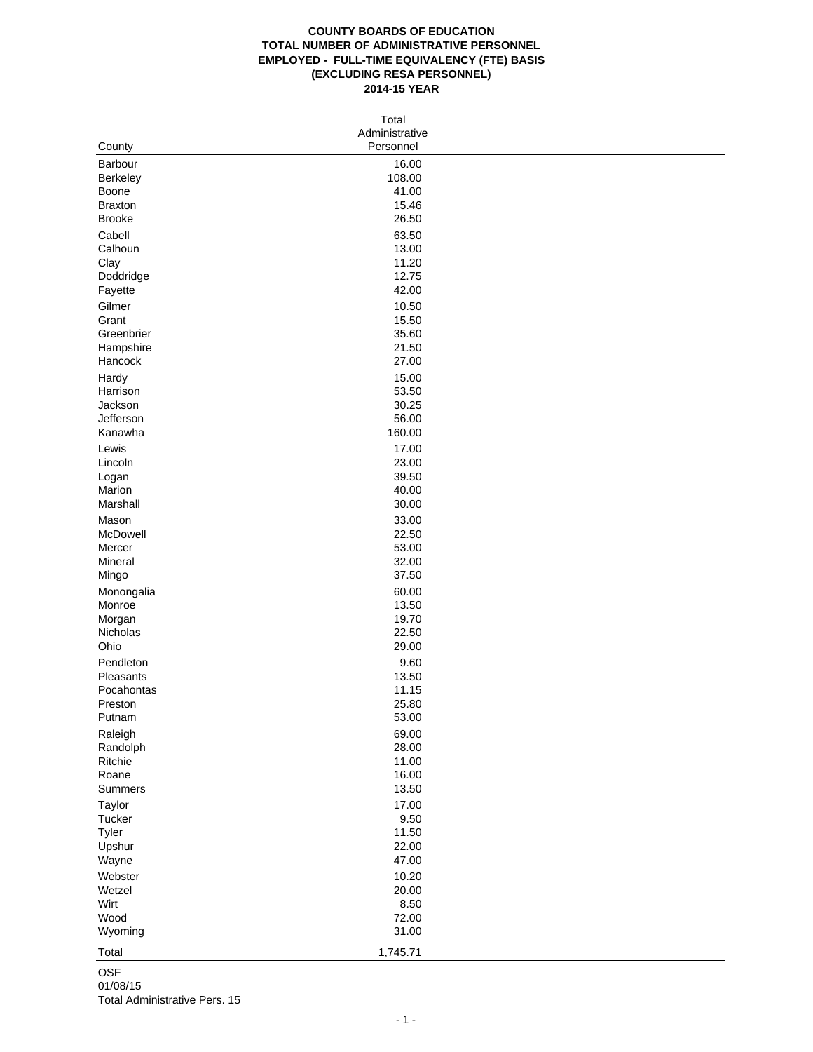## **COUNTY BOARDS OF EDUCATION TOTAL NUMBER OF ADMINISTRATIVE PERSONNEL EMPLOYED - FULL-TIME EQUIVALENCY (FTE) BASIS (EXCLUDING RESA PERSONNEL) 2014-15 YEAR**

| Total          |                |  |  |  |  |  |
|----------------|----------------|--|--|--|--|--|
|                | Administrative |  |  |  |  |  |
| County         | Personnel      |  |  |  |  |  |
| Barbour        | 16.00          |  |  |  |  |  |
| Berkeley       | 108.00         |  |  |  |  |  |
| Boone          | 41.00          |  |  |  |  |  |
| <b>Braxton</b> | 15.46          |  |  |  |  |  |
| <b>Brooke</b>  | 26.50          |  |  |  |  |  |
| Cabell         | 63.50          |  |  |  |  |  |
| Calhoun        | 13.00          |  |  |  |  |  |
| Clay           | 11.20          |  |  |  |  |  |
| Doddridge      | 12.75          |  |  |  |  |  |
| Fayette        | 42.00          |  |  |  |  |  |
| Gilmer         | 10.50          |  |  |  |  |  |
| Grant          | 15.50          |  |  |  |  |  |
| Greenbrier     | 35.60          |  |  |  |  |  |
| Hampshire      | 21.50          |  |  |  |  |  |
| Hancock        | 27.00          |  |  |  |  |  |
| Hardy          | 15.00          |  |  |  |  |  |
| Harrison       | 53.50          |  |  |  |  |  |
| Jackson        | 30.25          |  |  |  |  |  |
| Jefferson      | 56.00          |  |  |  |  |  |
| Kanawha        | 160.00         |  |  |  |  |  |
| Lewis          | 17.00          |  |  |  |  |  |
| Lincoln        | 23.00          |  |  |  |  |  |
| Logan          | 39.50          |  |  |  |  |  |
| Marion         | 40.00          |  |  |  |  |  |
| Marshall       | 30.00          |  |  |  |  |  |
| Mason          | 33.00          |  |  |  |  |  |
| McDowell       | 22.50          |  |  |  |  |  |
| Mercer         | 53.00          |  |  |  |  |  |
| Mineral        | 32.00          |  |  |  |  |  |
| Mingo          | 37.50          |  |  |  |  |  |
| Monongalia     | 60.00          |  |  |  |  |  |
| Monroe         | 13.50          |  |  |  |  |  |
| Morgan         | 19.70          |  |  |  |  |  |
| Nicholas       | 22.50          |  |  |  |  |  |
| Ohio           | 29.00          |  |  |  |  |  |
| Pendleton      | 9.60           |  |  |  |  |  |
| Pleasants      | 13.50          |  |  |  |  |  |
| Pocahontas     | 11.15          |  |  |  |  |  |
| Preston        | 25.80          |  |  |  |  |  |
| Putnam         | 53.00          |  |  |  |  |  |
| Raleigh        | 69.00          |  |  |  |  |  |
| Randolph       | 28.00          |  |  |  |  |  |
| Ritchie        | 11.00          |  |  |  |  |  |
| Roane          | 16.00          |  |  |  |  |  |
| Summers        | 13.50          |  |  |  |  |  |
| Taylor         | 17.00          |  |  |  |  |  |
| Tucker         | 9.50           |  |  |  |  |  |
| Tyler          | 11.50          |  |  |  |  |  |
| Upshur         | 22.00          |  |  |  |  |  |
| Wayne          | 47.00          |  |  |  |  |  |
| Webster        | 10.20          |  |  |  |  |  |
| Wetzel         | 20.00          |  |  |  |  |  |
| Wirt           | 8.50           |  |  |  |  |  |
| Wood           | 72.00          |  |  |  |  |  |
| Wyoming        | 31.00          |  |  |  |  |  |
| Total          | 1,745.71       |  |  |  |  |  |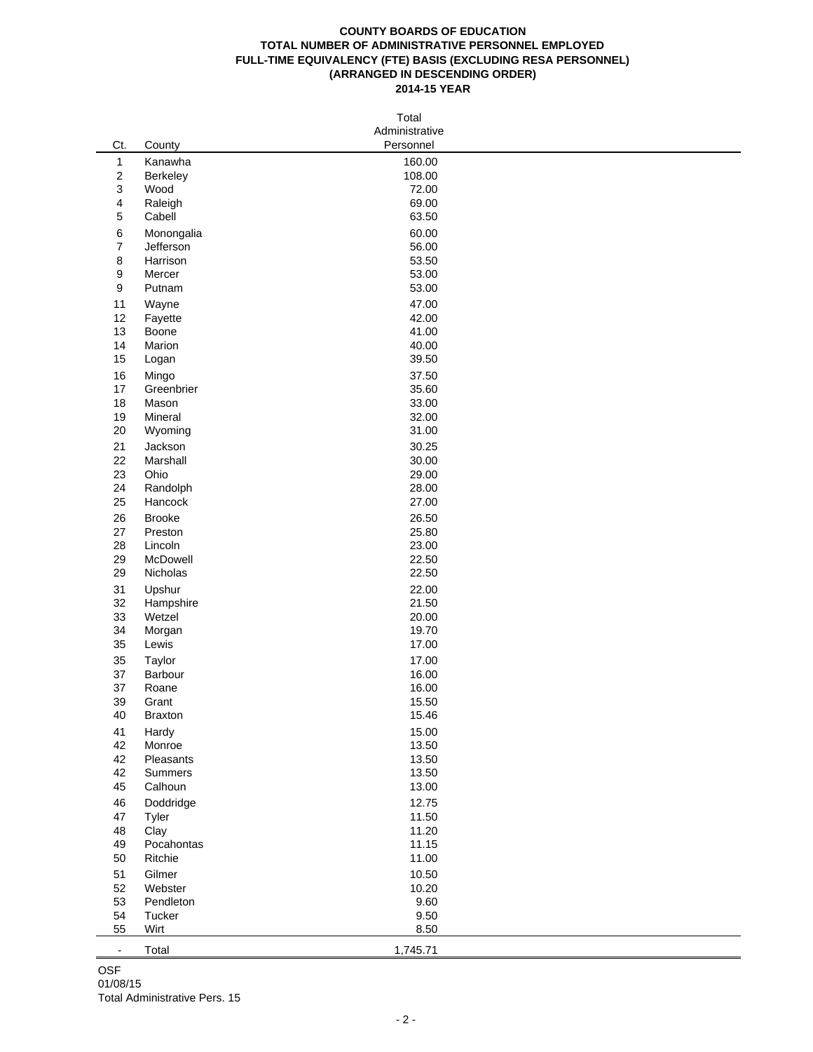## **COUNTY BOARDS OF EDUCATION TOTAL NUMBER OF ADMINISTRATIVE PERSONNEL EMPLOYED FULL-TIME EQUIVALENCY (FTE) BASIS (EXCLUDING RESA PERSONNEL) (ARRANGED IN DESCENDING ORDER) 2014-15 YEAR**

|                          | Total                 |                |  |  |  |  |  |
|--------------------------|-----------------------|----------------|--|--|--|--|--|
| Administrative           |                       |                |  |  |  |  |  |
| Ct.                      | County                | Personnel      |  |  |  |  |  |
| $\mathbf{1}$             | Kanawha               | 160.00         |  |  |  |  |  |
| $\overline{\mathbf{c}}$  | Berkeley              | 108.00         |  |  |  |  |  |
| 3                        | Wood                  | 72.00          |  |  |  |  |  |
| 4<br>5                   | Raleigh<br>Cabell     | 69.00<br>63.50 |  |  |  |  |  |
|                          |                       |                |  |  |  |  |  |
| 6<br>$\boldsymbol{7}$    | Monongalia            | 60.00<br>56.00 |  |  |  |  |  |
| 8                        | Jefferson<br>Harrison | 53.50          |  |  |  |  |  |
| 9                        | Mercer                | 53.00          |  |  |  |  |  |
| 9                        | Putnam                | 53.00          |  |  |  |  |  |
| 11                       | Wayne                 | 47.00          |  |  |  |  |  |
| 12                       | Fayette               | 42.00          |  |  |  |  |  |
| 13                       | Boone                 | 41.00          |  |  |  |  |  |
| 14                       | Marion                | 40.00          |  |  |  |  |  |
| 15                       | Logan                 | 39.50          |  |  |  |  |  |
| 16                       | Mingo                 | 37.50          |  |  |  |  |  |
| 17                       | Greenbrier            | 35.60          |  |  |  |  |  |
| 18                       | Mason                 | 33.00          |  |  |  |  |  |
| 19                       | Mineral               | 32.00          |  |  |  |  |  |
| 20                       | Wyoming               | 31.00          |  |  |  |  |  |
| 21                       | Jackson               | 30.25          |  |  |  |  |  |
| 22                       | Marshall              | 30.00          |  |  |  |  |  |
| 23                       | Ohio                  | 29.00          |  |  |  |  |  |
| 24                       | Randolph              | 28.00          |  |  |  |  |  |
| 25                       | Hancock               | 27.00          |  |  |  |  |  |
| 26                       | <b>Brooke</b>         | 26.50          |  |  |  |  |  |
| 27<br>28                 | Preston               | 25.80          |  |  |  |  |  |
| 29                       | Lincoln<br>McDowell   | 23.00<br>22.50 |  |  |  |  |  |
| 29                       | Nicholas              | 22.50          |  |  |  |  |  |
| 31                       | Upshur                | 22.00          |  |  |  |  |  |
| 32                       | Hampshire             | 21.50          |  |  |  |  |  |
| 33                       | Wetzel                | 20.00          |  |  |  |  |  |
| 34                       | Morgan                | 19.70          |  |  |  |  |  |
| 35                       | Lewis                 | 17.00          |  |  |  |  |  |
| 35                       | Taylor                | 17.00          |  |  |  |  |  |
| 37                       | Barbour               | 16.00          |  |  |  |  |  |
| 37                       | Roane                 | 16.00          |  |  |  |  |  |
| 39                       | Grant                 | 15.50          |  |  |  |  |  |
| 40                       | <b>Braxton</b>        | 15.46          |  |  |  |  |  |
| 41                       | Hardy                 | 15.00          |  |  |  |  |  |
| 42                       | Monroe                | 13.50          |  |  |  |  |  |
| 42                       | Pleasants             | 13.50          |  |  |  |  |  |
| 42                       | Summers               | 13.50          |  |  |  |  |  |
| 45                       | Calhoun               | 13.00          |  |  |  |  |  |
| 46                       | Doddridge             | 12.75          |  |  |  |  |  |
| 47                       | Tyler                 | 11.50          |  |  |  |  |  |
| 48                       | Clay                  | 11.20          |  |  |  |  |  |
| 49<br>50                 | Pocahontas<br>Ritchie | 11.15<br>11.00 |  |  |  |  |  |
|                          | Gilmer                | 10.50          |  |  |  |  |  |
| 51<br>52                 | Webster               | 10.20          |  |  |  |  |  |
| 53                       | Pendleton             | 9.60           |  |  |  |  |  |
| 54                       | Tucker                | 9.50           |  |  |  |  |  |
| 55                       | Wirt                  | 8.50           |  |  |  |  |  |
|                          |                       |                |  |  |  |  |  |
| $\overline{\phantom{a}}$ | Total                 | 1,745.71       |  |  |  |  |  |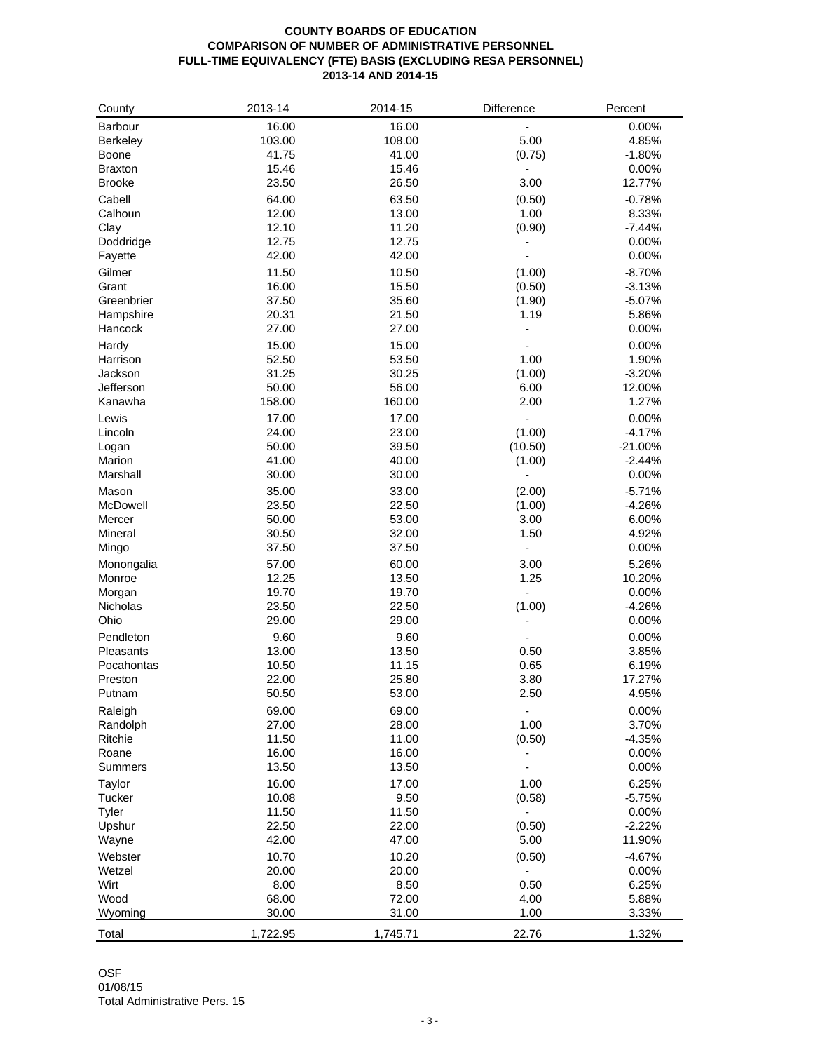## **COUNTY BOARDS OF EDUCATION COMPARISON OF NUMBER OF ADMINISTRATIVE PERSONNEL FULL-TIME EQUIVALENCY (FTE) BASIS (EXCLUDING RESA PERSONNEL) 2013-14 AND 2014-15**

| County              | 2013-14        | 2014-15        | Difference             | Percent        |
|---------------------|----------------|----------------|------------------------|----------------|
| Barbour             | 16.00          | 16.00          |                        | 0.00%          |
| <b>Berkeley</b>     | 103.00         | 108.00         | 5.00                   | 4.85%          |
| Boone               | 41.75          | 41.00          | (0.75)                 | $-1.80%$       |
| <b>Braxton</b>      | 15.46          | 15.46          |                        | 0.00%          |
| <b>Brooke</b>       | 23.50          | 26.50          | 3.00                   | 12.77%         |
| Cabell              | 64.00          | 63.50          | (0.50)                 | $-0.78%$       |
| Calhoun             | 12.00          | 13.00          | 1.00                   | 8.33%          |
| Clay                | 12.10          | 11.20          | (0.90)                 | $-7.44%$       |
| Doddridge           | 12.75          | 12.75          |                        | 0.00%          |
| Fayette             | 42.00          | 42.00          | ÷,                     | 0.00%          |
| Gilmer              | 11.50          | 10.50          | (1.00)                 | $-8.70%$       |
| Grant               | 16.00          | 15.50          | (0.50)                 | $-3.13%$       |
| Greenbrier          | 37.50          | 35.60          | (1.90)                 | -5.07%         |
| Hampshire           | 20.31          | 21.50          | 1.19                   | 5.86%          |
| Hancock             | 27.00          | 27.00          |                        | 0.00%          |
|                     |                |                |                        |                |
| Hardy<br>Harrison   | 15.00          | 15.00<br>53.50 | 1.00                   | 0.00%          |
|                     | 52.50          |                |                        | 1.90%          |
| Jackson             | 31.25          | 30.25          | (1.00)                 | $-3.20%$       |
| Jefferson           | 50.00          | 56.00          | 6.00                   | 12.00%         |
| Kanawha             | 158.00         | 160.00         | 2.00                   | 1.27%          |
| Lewis               | 17.00          | 17.00          | ä,                     | 0.00%          |
| Lincoln             | 24.00          | 23.00          | (1.00)                 | $-4.17%$       |
| Logan               | 50.00          | 39.50          | (10.50)                | $-21.00%$      |
| Marion              | 41.00          | 40.00          | (1.00)                 | $-2.44%$       |
| Marshall            | 30.00          | 30.00          |                        | 0.00%          |
| Mason               | 35.00          | 33.00          | (2.00)                 | $-5.71%$       |
| McDowell            | 23.50          | 22.50          | (1.00)                 | $-4.26%$       |
| Mercer              | 50.00          | 53.00          | 3.00                   | 6.00%          |
| Mineral             | 30.50          | 32.00          | 1.50                   | 4.92%          |
| Mingo               | 37.50          | 37.50          | ä,                     | 0.00%          |
| Monongalia          | 57.00          | 60.00          | 3.00                   | 5.26%          |
| Monroe              | 12.25          | 13.50          | 1.25                   | 10.20%         |
| Morgan              | 19.70          | 19.70          | ÷,                     | 0.00%          |
| Nicholas            | 23.50          | 22.50          | (1.00)                 | $-4.26%$       |
| Ohio                | 29.00          | 29.00          |                        | $0.00\%$       |
| Pendleton           | 9.60           | 9.60           |                        | 0.00%          |
| Pleasants           | 13.00          | 13.50          | 0.50                   | 3.85%          |
| Pocahontas          | 10.50          | 11.15          | 0.65                   | 6.19%          |
| Preston             | 22.00          | 25.80          | 3.80                   | 17.27%         |
| Putnam              | 50.50          | 53.00          | 2.50                   | 4.95%          |
|                     |                |                |                        |                |
| Raleigh             | 69.00          | 69.00          | $\blacksquare$<br>1.00 | 0.00%          |
| Randolph<br>Ritchie | 27.00          | 28.00          |                        | 3.70%          |
|                     | 11.50          | 11.00<br>16.00 | (0.50)                 | $-4.35%$       |
| Roane               | 16.00<br>13.50 |                |                        | 0.00%<br>0.00% |
| Summers             |                | 13.50          |                        |                |
| Taylor              | 16.00          | 17.00          | 1.00                   | 6.25%          |
| Tucker              | 10.08          | 9.50           | (0.58)                 | $-5.75%$       |
| Tyler               | 11.50          | 11.50          |                        | 0.00%          |
| Upshur              | 22.50          | 22.00          | (0.50)                 | $-2.22%$       |
| Wayne               | 42.00          | 47.00          | 5.00                   | 11.90%         |
| Webster             | 10.70          | 10.20          | (0.50)                 | $-4.67%$       |
| Wetzel              | 20.00          | 20.00          |                        | 0.00%          |
| Wirt                | 8.00           | 8.50           | 0.50                   | 6.25%          |
| Wood                | 68.00          | 72.00          | 4.00                   | 5.88%          |
| Wyoming             | 30.00          | 31.00          | 1.00                   | 3.33%          |
| Total               | 1,722.95       | 1,745.71       | 22.76                  | 1.32%          |